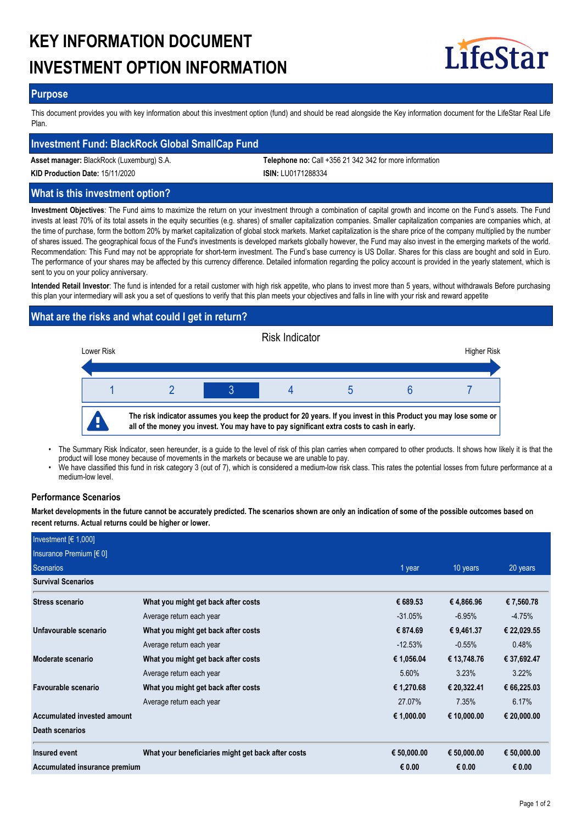# **KEY INFORMATION DOCUMENT INVESTMENT OPTION INFORMATION**



## **Purpose**

This document provides you with key information about this investment option (fund) and should be read alongside the Key information document for the LifeStar Real Life Plan.

## **Investment Fund: BlackRock Global SmallCap Fund**

**Asset manager:** BlackRock (Luxemburg) S.A. **Telephone no:** Call +356 21 342 342 for more information

**KID Production Date:** 15/11/2020 **ISIN:** LU0171288334

## **What is this investment option?**

**Investment Objectives**: The Fund aims to maximize the return on your investment through a combination of capital growth and income on the Fund's assets. The Fund invests at least 70% of its total assets in the equity securities (e.g. shares) of smaller capitalization companies. Smaller capitalization companies are companies which, at the time of purchase, form the bottom 20% by market capitalization of global stock markets. Market capitalization is the share price of the company multiplied by the number of shares issued. The geographical focus of the Fund's investments is developed markets globally however, the Fund may also invest in the emerging markets of the world. Recommendation: This Fund may not be appropriate for short-term investment. The Fund's base currency is US Dollar. Shares for this class are bought and sold in Euro. The performance of your shares may be affected by this currency difference. Detailed information regarding the policy account is provided in the yearly statement, which is sent to you on your policy anniversary.

**Intended Retail Investor**: The fund is intended for a retail customer with high risk appetite, who plans to invest more than 5 years, without withdrawals Before purchasing this plan your intermediary will ask you a set of questions to verify that this plan meets your objectives and falls in line with your risk and reward appetite

# **What are the risks and what could I get in return?**



- The Summary Risk Indicator, seen hereunder, is a guide to the level of risk of this plan carries when compared to other products. It shows how likely it is that the product will lose money because of movements in the markets or because we are unable to pay. •
- We have classified this fund in risk category 3 (out of 7), which is considered a medium-low risk class. This rates the potential losses from future performance at a medium-low level. •

## **Performance Scenarios**

**Market developments in the future cannot be accurately predicted. The scenarios shown are only an indication of some of the possible outcomes based on recent returns. Actual returns could be higher or lower.**

| Investment $F(1,000)$         |                                                    |             |             |             |
|-------------------------------|----------------------------------------------------|-------------|-------------|-------------|
| Insurance Premium $[6 0]$     |                                                    |             |             |             |
| Scenarios                     |                                                    | 1 year      | 10 years    | 20 years    |
| <b>Survival Scenarios</b>     |                                                    |             |             |             |
| Stress scenario               | What you might get back after costs                | € 689.53    | €4,866.96   | €7,560.78   |
|                               | Average return each year                           | $-31.05%$   | $-6.95%$    | $-4.75%$    |
| Unfavourable scenario         | What you might get back after costs                | € 874.69    | € 9,461.37  | € 22,029.55 |
|                               | Average return each year                           | $-12.53%$   | $-0.55%$    | 0.48%       |
| Moderate scenario             | What you might get back after costs                | € 1,056.04  | € 13,748.76 | € 37,692.47 |
|                               | Average return each year                           | 5.60%       | 3.23%       | $3.22\%$    |
| Favourable scenario           | What you might get back after costs                | € 1,270.68  | € 20,322.41 | € 66,225.03 |
|                               | Average return each year                           | 27.07%      | 7.35%       | 6.17%       |
| Accumulated invested amount   |                                                    | € 1,000.00  | € 10,000.00 | € 20,000.00 |
| Death scenarios               |                                                    |             |             |             |
| Insured event                 | What your beneficiaries might get back after costs | € 50,000.00 | € 50,000.00 | € 50,000.00 |
| Accumulated insurance premium |                                                    | € 0.00      | € 0.00      | € 0.00      |